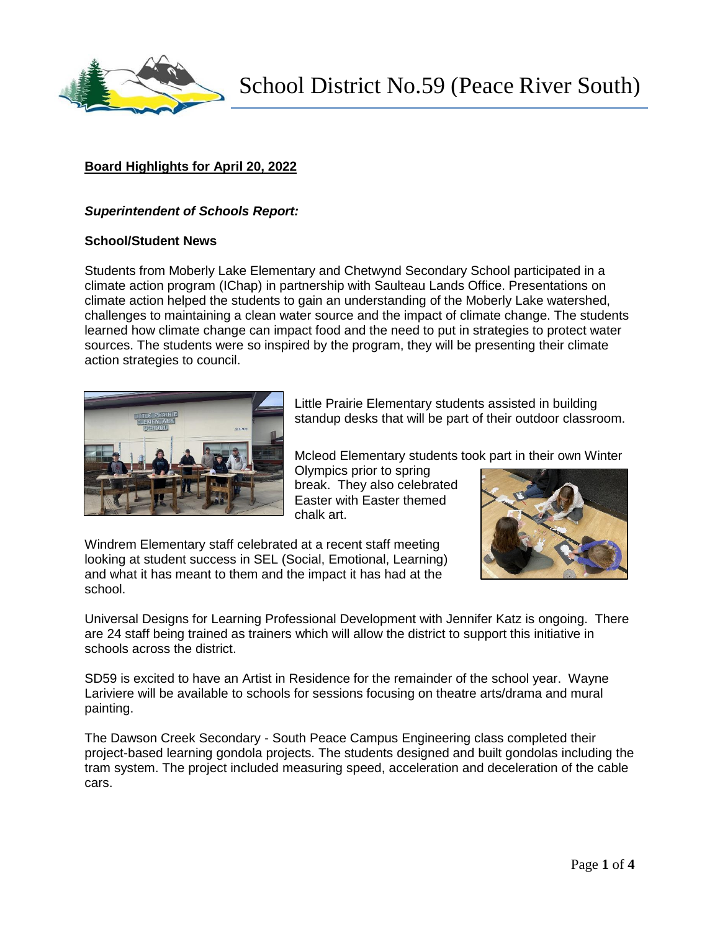

School District No.59 (Peace River South)

# **Board Highlights for April 20, 2022**

#### *Superintendent of Schools Report:*

#### **School/Student News**

Students from Moberly Lake Elementary and Chetwynd Secondary School participated in a climate action program (IChap) in partnership with Saulteau Lands Office. Presentations on climate action helped the students to gain an understanding of the Moberly Lake watershed, challenges to maintaining a clean water source and the impact of climate change. The students learned how climate change can impact food and the need to put in strategies to protect water sources. The students were so inspired by the program, they will be presenting their climate action strategies to council.



Little Prairie Elementary students assisted in building standup desks that will be part of their outdoor classroom.

Mcleod Elementary students took part in their own Winter

Olympics prior to spring break. They also celebrated Easter with Easter themed chalk art.



Windrem Elementary staff celebrated at a recent staff meeting looking at student success in SEL (Social, Emotional, Learning) and what it has meant to them and the impact it has had at the school.

Universal Designs for Learning Professional Development with Jennifer Katz is ongoing. There are 24 staff being trained as trainers which will allow the district to support this initiative in schools across the district.

SD59 is excited to have an Artist in Residence for the remainder of the school year. Wayne Lariviere will be available to schools for sessions focusing on theatre arts/drama and mural painting.

The Dawson Creek Secondary - South Peace Campus Engineering class completed their project-based learning gondola projects. The students designed and built gondolas including the tram system. The project included measuring speed, acceleration and deceleration of the cable cars.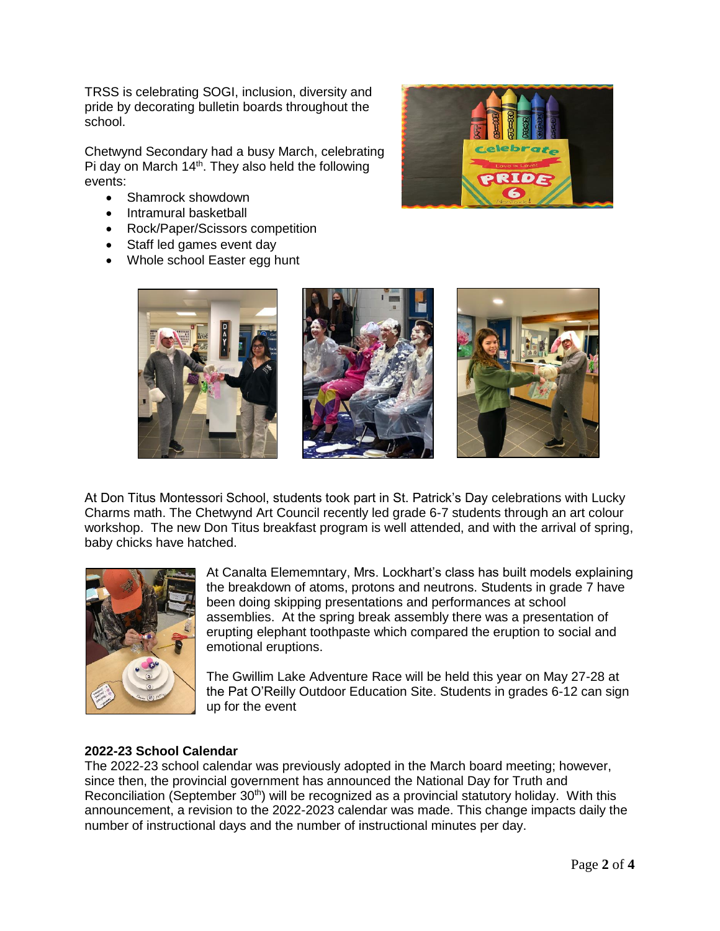TRSS is celebrating SOGI, inclusion, diversity and pride by decorating bulletin boards throughout the school.

Chetwynd Secondary had a busy March, celebrating Pi day on March  $14<sup>th</sup>$ . They also held the following events:

- Shamrock showdown
- Intramural basketball
- Rock/Paper/Scissors competition
- Staff led games event day
- Whole school Easter egg hunt





At Don Titus Montessori School, students took part in St. Patrick's Day celebrations with Lucky Charms math. The Chetwynd Art Council recently led grade 6-7 students through an art colour workshop. The new Don Titus breakfast program is well attended, and with the arrival of spring, baby chicks have hatched.



At Canalta Elememntary, Mrs. Lockhart's class has built models explaining the breakdown of atoms, protons and neutrons. Students in grade 7 have been doing skipping presentations and performances at school assemblies. At the spring break assembly there was a presentation of erupting elephant toothpaste which compared the eruption to social and emotional eruptions.

The Gwillim Lake Adventure Race will be held this year on May 27-28 at the Pat O'Reilly Outdoor Education Site. Students in grades 6-12 can sign up for the event

# **2022-23 School Calendar**

The 2022-23 school calendar was previously adopted in the March board meeting; however, since then, the provincial government has announced the National Day for Truth and Reconciliation (September 30<sup>th</sup>) will be recognized as a provincial statutory holiday. With this announcement, a revision to the 2022-2023 calendar was made. This change impacts daily the number of instructional days and the number of instructional minutes per day.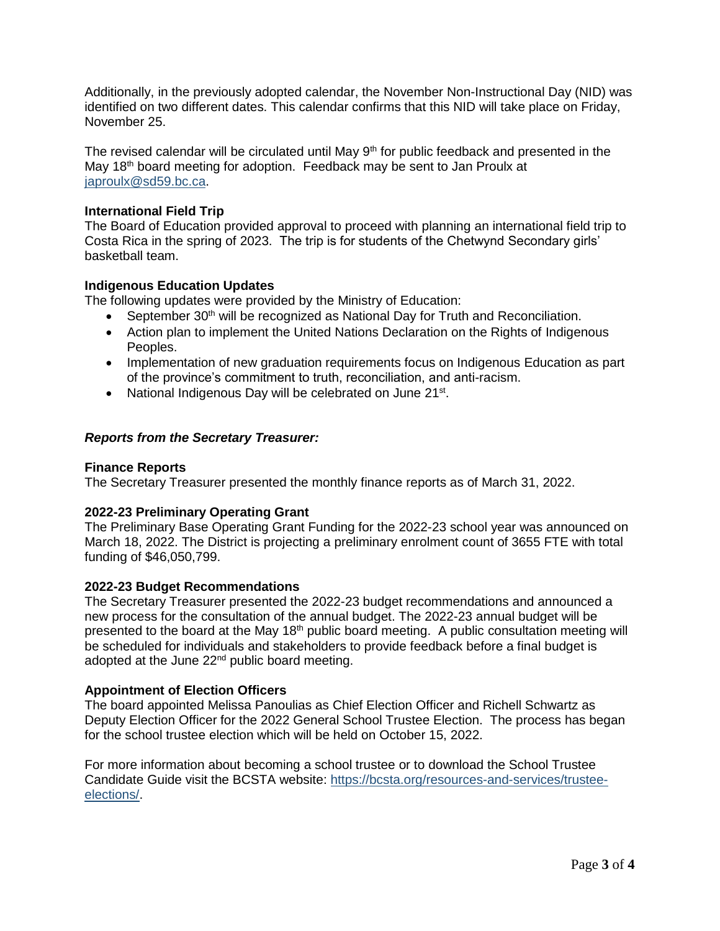Additionally, in the previously adopted calendar, the November Non-Instructional Day (NID) was identified on two different dates. This calendar confirms that this NID will take place on Friday, November 25.

The revised calendar will be circulated until May  $9<sup>th</sup>$  for public feedback and presented in the May 18<sup>th</sup> board meeting for adoption. Feedback may be sent to Jan Proulx at [japroulx@sd59.bc.ca.](mailto:japroulx@sd59.bc.ca)

# **International Field Trip**

The Board of Education provided approval to proceed with planning an international field trip to Costa Rica in the spring of 2023. The trip is for students of the Chetwynd Secondary girls' basketball team.

# **Indigenous Education Updates**

The following updates were provided by the Ministry of Education:

- September  $30<sup>th</sup>$  will be recognized as National Day for Truth and Reconciliation.
- Action plan to implement the United Nations Declaration on the Rights of Indigenous Peoples.
- Implementation of new graduation requirements focus on Indigenous Education as part of the province's commitment to truth, reconciliation, and anti-racism.
- National Indigenous Day will be celebrated on June 21<sup>st</sup>.

### *Reports from the Secretary Treasurer:*

#### **Finance Reports**

The Secretary Treasurer presented the monthly finance reports as of March 31, 2022.

#### **2022-23 Preliminary Operating Grant**

The Preliminary Base Operating Grant Funding for the 2022-23 school year was announced on March 18, 2022. The District is projecting a preliminary enrolment count of 3655 FTE with total funding of \$46,050,799.

#### **2022-23 Budget Recommendations**

The Secretary Treasurer presented the 2022-23 budget recommendations and announced a new process for the consultation of the annual budget. The 2022-23 annual budget will be presented to the board at the May  $18<sup>th</sup>$  public board meeting. A public consultation meeting will be scheduled for individuals and stakeholders to provide feedback before a final budget is adopted at the June 22<sup>nd</sup> public board meeting.

#### **Appointment of Election Officers**

The board appointed Melissa Panoulias as Chief Election Officer and Richell Schwartz as Deputy Election Officer for the 2022 General School Trustee Election. The process has began for the school trustee election which will be held on October 15, 2022.

For more information about becoming a school trustee or to download the School Trustee Candidate Guide visit the BCSTA website: [https://bcsta.org/resources-and-services/trustee](https://bcsta.org/resources-and-services/trustee-elections/)[elections/.](https://bcsta.org/resources-and-services/trustee-elections/)